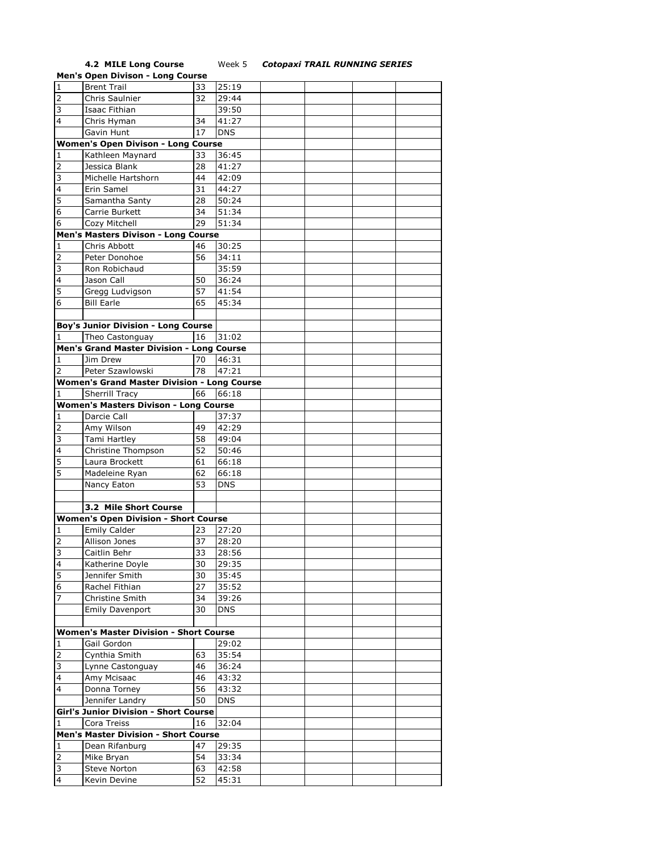**4.2 MILE Long Course** Week 5 *Cotopaxi TRAIL RUNNING SERIES*

|                         | <b>Men's Open Divison - Long Course</b>                      |    |            |  |  |
|-------------------------|--------------------------------------------------------------|----|------------|--|--|
| $\overline{1}$          | <b>Brent Trail</b>                                           | 33 | 25:19      |  |  |
| $\overline{2}$          | Chris Saulnier                                               | 32 | 29:44      |  |  |
| 3                       | Isaac Fithian                                                |    | 39:50      |  |  |
|                         |                                                              |    |            |  |  |
| 4                       | Chris Hyman                                                  | 34 | 41:27      |  |  |
|                         | Gavin Hunt                                                   | 17 | <b>DNS</b> |  |  |
|                         | <b>Women's Open Divison - Long Course</b>                    |    |            |  |  |
| 1                       | Kathleen Maynard                                             | 33 | 36:45      |  |  |
| 2                       | Jessica Blank                                                | 28 | 41:27      |  |  |
| 3                       | Michelle Hartshorn                                           | 44 | 42:09      |  |  |
| $\overline{4}$          | Erin Samel                                                   | 31 | 44:27      |  |  |
| 5                       | Samantha Santy                                               | 28 | 50:24      |  |  |
| 6                       | Carrie Burkett                                               | 34 | 51:34      |  |  |
| 6                       | Cozy Mitchell                                                | 29 | 51:34      |  |  |
|                         | Men's Masters Divison - Long Course                          |    |            |  |  |
|                         |                                                              |    |            |  |  |
| 1                       | Chris Abbott                                                 | 46 | 30:25      |  |  |
| $\overline{2}$          | Peter Donohoe                                                | 56 | 34:11      |  |  |
| $\overline{3}$          | Ron Robichaud                                                |    | 35:59      |  |  |
| $\overline{4}$          | Jason Call                                                   | 50 | 36:24      |  |  |
| 5                       | Gregg Ludvigson                                              | 57 | 41:54      |  |  |
| 6                       | <b>Bill Earle</b>                                            | 65 | 45:34      |  |  |
|                         |                                                              |    |            |  |  |
|                         | <b>Boy's Junior Division - Long Course</b>                   |    |            |  |  |
| 1                       | Theo Castonguay                                              | 16 | 31:02      |  |  |
|                         | Men's Grand Master Division - Long Course                    |    |            |  |  |
| 1                       | Jim Drew                                                     | 70 | 46:31      |  |  |
| 2                       | Peter Szawlowski                                             | 78 | 47:21      |  |  |
|                         |                                                              |    |            |  |  |
|                         | <b>Women's Grand Master Division - Long Course</b>           |    |            |  |  |
| 1                       | <b>Sherrill Tracy</b>                                        | 66 | 66:18      |  |  |
|                         | <b>Women's Masters Divison - Long Course</b>                 |    |            |  |  |
| 1                       | Darcie Call                                                  |    | 37:37      |  |  |
| 2                       | Amy Wilson                                                   | 49 | 42:29      |  |  |
| 3                       | Tami Hartley                                                 | 58 | 49:04      |  |  |
| 4                       | Christine Thompson                                           | 52 | 50:46      |  |  |
| 5                       | Laura Brockett                                               | 61 | 66:18      |  |  |
| 5                       | Madeleine Ryan                                               | 62 | 66:18      |  |  |
|                         | Nancy Eaton                                                  | 53 | <b>DNS</b> |  |  |
|                         |                                                              |    |            |  |  |
|                         | 3.2 Mile Short Course                                        |    |            |  |  |
|                         |                                                              |    |            |  |  |
|                         | <b>Women's Open Division - Short Course</b>                  |    |            |  |  |
| 1                       | <b>Emily Calder</b>                                          | 23 | 27:20      |  |  |
| $\overline{2}$          | Allison Jones                                                | 37 | 28:20      |  |  |
| 3                       | Caitlin Behr                                                 | 33 | 28:56      |  |  |
| $\overline{4}$          | Katherine Doyle                                              | 30 | 29:35      |  |  |
| 5                       | Jennifer Smith                                               | 30 | 35:45      |  |  |
| 6                       | Rachel Fithian                                               | 27 | 35:52      |  |  |
| 7                       | Christine Smith                                              | 34 | 39:26      |  |  |
|                         | <b>Emily Davenport</b>                                       | 30 | <b>DNS</b> |  |  |
|                         |                                                              |    |            |  |  |
|                         |                                                              |    |            |  |  |
| $\mathbf 1$             | <b>Women's Master Division - Short Course</b><br>Gail Gordon |    | 29:02      |  |  |
|                         |                                                              |    |            |  |  |
| $\mathbf 2$             | Cynthia Smith                                                | 63 | 35:54      |  |  |
| $\overline{\mathbf{3}}$ | Lynne Castonguay                                             | 46 | 36:24      |  |  |
| $\overline{4}$          | Amy Mcisaac                                                  | 46 | 43:32      |  |  |
| $\overline{4}$          | Donna Torney                                                 | 56 | 43:32      |  |  |
|                         | Jennifer Landry                                              | 50 | <b>DNS</b> |  |  |
|                         | <b>Girl's Junior Division - Short Course</b>                 |    |            |  |  |
| 1                       | Cora Treiss                                                  | 16 | 32:04      |  |  |
|                         | <b>Men's Master Division - Short Course</b>                  |    |            |  |  |
| 1                       | Dean Rifanburg                                               | 47 | 29:35      |  |  |
| $\overline{2}$          | Mike Bryan                                                   | 54 | 33:34      |  |  |
| $\overline{3}$          | Steve Norton                                                 | 63 |            |  |  |
| $\overline{4}$          |                                                              |    | 42:58      |  |  |
|                         | Kevin Devine                                                 | 52 | 45:31      |  |  |